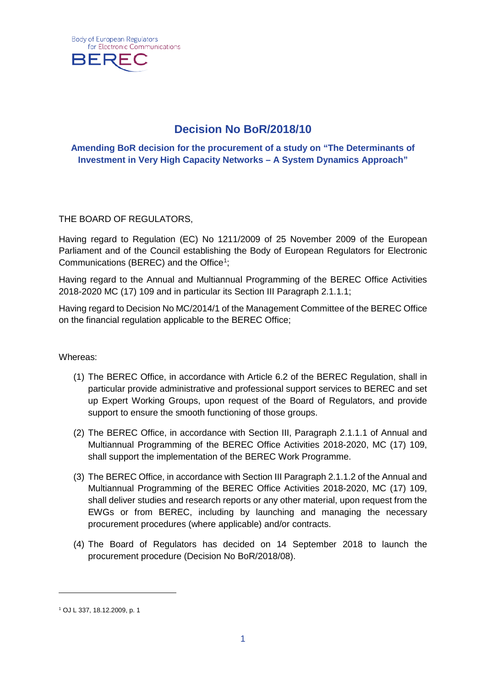

# **Decision No BoR/2018/10**

## **Amending BoR decision for the procurement of a study on "The Determinants of Investment in Very High Capacity Networks – A System Dynamics Approach"**

THE BOARD OF REGULATORS,

Having regard to Regulation (EC) No 1211/2009 of 25 November 2009 of the European Parliament and of the Council establishing the Body of European Regulators for Electronic Communications (BEREC) and the Office<sup>[1](#page-0-0)</sup>;

Having regard to the Annual and Multiannual Programming of the BEREC Office Activities 2018-2020 MC (17) 109 and in particular its Section III Paragraph 2.1.1.1;

Having regard to Decision No MC/2014/1 of the Management Committee of the BEREC Office on the financial regulation applicable to the BEREC Office;

Whereas:

- (1) The BEREC Office, in accordance with Article 6.2 of the BEREC Regulation, shall in particular provide administrative and professional support services to BEREC and set up Expert Working Groups, upon request of the Board of Regulators, and provide support to ensure the smooth functioning of those groups.
- (2) The BEREC Office, in accordance with Section III, Paragraph 2.1.1.1 of Annual and Multiannual Programming of the BEREC Office Activities 2018-2020, MC (17) 109, shall support the implementation of the BEREC Work Programme.
- (3) The BEREC Office, in accordance with Section III Paragraph 2.1.1.2 of the Annual and Multiannual Programming of the BEREC Office Activities 2018-2020, MC (17) 109, shall deliver studies and research reports or any other material, upon request from the EWGs or from BEREC, including by launching and managing the necessary procurement procedures (where applicable) and/or contracts.
- (4) The Board of Regulators has decided on 14 September 2018 to launch the procurement procedure (Decision No BoR/2018/08).

-

<span id="page-0-0"></span><sup>1</sup> OJ L 337, 18.12.2009, p. 1